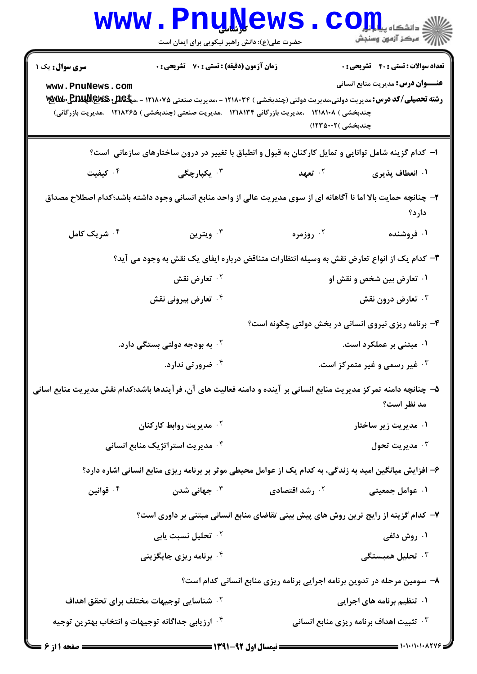|                                                                                                     | <b>WWW.PNUNEWS</b><br>حضرت علی(ع): دانش راهبر نیکویی برای ایمان است                                                 |                                                                          | $\mathbf{C}\mathbf{Q}$ انشڪاه پيا جا                          |
|-----------------------------------------------------------------------------------------------------|---------------------------------------------------------------------------------------------------------------------|--------------------------------------------------------------------------|---------------------------------------------------------------|
| <b>سری سوال :</b> یک ۱                                                                              | زمان آزمون (دقیقه) : تستی : 70 ٪ تشریحی : 0                                                                         |                                                                          | <b>تعداد سوالات : تستی : 40 ٪ تشریحی : 0</b>                  |
| www.PnuNews.com                                                                                     |                                                                                                                     |                                                                          | <b>عنـــوان درس:</b> مدیریت منابع انسانی                      |
|                                                                                                     | چندبخشی ) ۱۲۱۸۱۰۸ - ،مدیریت بازرگانی ۱۲۱۸۱۳۴ - ،مدیریت صنعتی (چندبخشی ) ۱۲۱۸۲۶۵ - ،مدیریت بازرگانی)                 | چندبخشی )۱۲۳۵۰۰۲                                                         |                                                               |
| ۱– کدام گزینه شامل توانایی و تمایل کارکنان به قبول و انطباق با تغییر در درون ساختارهای سازمانی است؟ |                                                                                                                     |                                                                          |                                                               |
| کیفیت $\cdot$ ۴                                                                                     | ۰ <sup>۳</sup> يکپارچگى                                                                                             | ۰ <sup>۲</sup> تعهد                                                      | ۰۱ انعطاف پذیری                                               |
|                                                                                                     | ۲- چنانچه حمایت بالا اما نا آگاهانه ای از سوی مدیریت عالی از واحد منابع انسانی وجود داشته باشد؛کدام اصطلاح مصداق    |                                                                          |                                                               |
| ۰۴ شریک کامل                                                                                        | ۰۳ ویترین                                                                                                           | ۰ <sup>۲</sup> روزمره                                                    | دارد؟<br>۰۱ فروشنده                                           |
|                                                                                                     |                                                                                                                     |                                                                          |                                                               |
|                                                                                                     | ۳- کدام یک از انواع تعارض نقش به وسیله انتظارات متناقض درباره ایفای یک نقش به وجود می آید؟                          |                                                                          |                                                               |
|                                                                                                     | ۰ <sup>۲</sup> تعارض نقش<br>۰ <sup>۴</sup> تعارض بیرونی نقش                                                         |                                                                          | ۰۱ تعارض بین شخص و نقش او<br>تعارض درون نقش $\cdot$           |
|                                                                                                     |                                                                                                                     |                                                                          |                                                               |
|                                                                                                     |                                                                                                                     | ۴- برنامه ریزی نیروی انسانی در بخش دولتی چگونه است؟                      |                                                               |
|                                                                                                     | ۰ <sup>۲</sup> به بودجه دولتی بستگی دارد.<br>۰۴ ضرورتی ندارد.                                                       |                                                                          | ۰۱ مبتنی بر عملکرد است.<br>شير رسمي و غير متمركز است. $\cdot$ |
|                                                                                                     |                                                                                                                     |                                                                          |                                                               |
|                                                                                                     | ۵– چنانچه دامنه تمرکز مدیریت منابع انسانی بر آینده و دامنه فعالیت های آن، فرآیندها باشد؛کدام نقش مدیریت منابع اسانی |                                                                          | مد نظر است؟                                                   |
|                                                                                                     | ۰۲ مدیریت روابط کارکنان                                                                                             |                                                                          | ۰۱ مدیریت زیر ساختار                                          |
|                                                                                                     | ۰ <sup>۴</sup> مدیریت استراتژیک منابع انسانی                                                                        |                                                                          | مديريت تحول $\cdot$                                           |
|                                                                                                     | ۶- افزایش میانگین امید به زندگی، به کدام یک از عوامل محیطی موثر بر برنامه ریزی منابع انسانی اشاره دارد؟             |                                                                          |                                                               |
| ۰۴ قوانین                                                                                           | جهانی شدن $\cdot$                                                                                                   | ۰ <sup>۲</sup> رشد اقتصادی                                               | ۰۱ عوامل جمعیتی                                               |
|                                                                                                     | ۷- کدام گزینه از رایج ترین روش های پیش بینی تقاضای منابع انسانی مبتنی بر داوری است؟                                 |                                                                          |                                                               |
|                                                                                                     | ۰ <sup>۲</sup> تحلیل نسبت یابی                                                                                      |                                                                          | ۰۱ روش دلفی                                                   |
|                                                                                                     | ۰ <sup>۴</sup> برنامه ریزی جایگزینی                                                                                 |                                                                          | ۰ <sup>۳</sup> تحلیل همبستگی                                  |
|                                                                                                     |                                                                                                                     | ۸- سومین مرحله در تدوین برنامه اجرایی برنامه ریزی منابع انسانی کدام است؟ |                                                               |
|                                                                                                     | ۰ <sup>۲</sup> شناسایی توجیهات مختلف برای تحقق اهداف                                                                |                                                                          | ۰۱ تنظیم برنامه های اجرایی                                    |
| ۰۴ ارزیابی جداگانه توجیهات و انتخاب بهترین توجیه                                                    |                                                                                                                     |                                                                          | <b>۳. تثبیت اهداف برنامه ریزی منابع انسانی</b>                |
|                                                                                                     |                                                                                                                     |                                                                          | = ۱۰۱۰/۱۰۱۰۸۲۷۶ =                                             |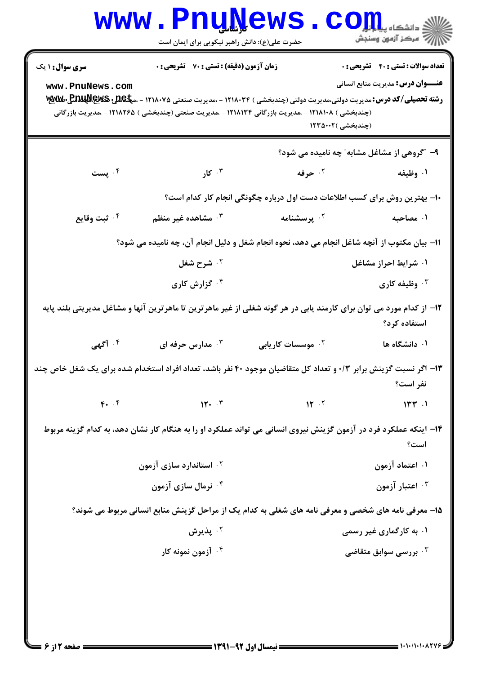|                                                                                                                 | <b>www.PnuNews</b><br>حضرت علی(ع): دانش راهبر نیکویی برای ایمان است                                                  |                               | $\text{C}$ OII<br>أأأ مركز آزمون وسنجش                                    |
|-----------------------------------------------------------------------------------------------------------------|----------------------------------------------------------------------------------------------------------------------|-------------------------------|---------------------------------------------------------------------------|
| <b>سری سوال : ۱ یک</b>                                                                                          | <b>زمان آزمون (دقیقه) : تستی : 70 ٪ تشریحی : 0</b>                                                                   |                               | <b>تعداد سوالات : تستي : 40 - تشريحي : 0</b>                              |
| www.PnuNews.com                                                                                                 | (چندبخشی ) ۱۲۱۸۱۰۸ - ،مدیریت بازرگانی ۱۲۱۸۱۳۴ - ،مدیریت صنعتی (چندبخشی ) ۱۲۱۸۲۶۵ - ،مدیریت بازرگانی                  |                               | <b>عنـــوان درس:</b> مدیریت منابع انسانی<br>(چندبخشی )۱۲۳۵۰۰۲             |
|                                                                                                                 |                                                                                                                      |                               | ۹- "گروهی از مشاغل مشابه" چه نامیده می شود؟                               |
| ۰۴ پست                                                                                                          | ۰۳ کار                                                                                                               | ۰۲ حرفه                       | ۰۱ وظیفه                                                                  |
|                                                                                                                 |                                                                                                                      |                               | ∙ا− بهترین روش برای کسب اطلاعات دست اول درباره چگونگی انجام کار کدام است؟ |
| ۰۴ ثبت وقايع                                                                                                    | شاهده غیر منظم $\cdot$ "                                                                                             | ۰ <sup>۲</sup> پرسشنامه       | ۰۱ مصاحبه                                                                 |
| 11- بیان مکتوب از آنچه شاغل انجام می دهد، نحوه انجام شغل و دلیل انجام آن، چه نامیده می شود؟                     |                                                                                                                      |                               |                                                                           |
|                                                                                                                 | ۰ <sup>۲</sup> شرح شغل                                                                                               |                               | ۰۱ شرایط احراز مشاغل                                                      |
|                                                                                                                 | ۰ <sup>۴</sup> گزارش کاری                                                                                            |                               | ۰۳ وظیفه کاری                                                             |
|                                                                                                                 | ۱۲– از کدام مورد می توان برای کارمند یابی در هر گونه شغلی از غیر ماهرترین تا ماهرترین آنها و مشاغل مدیریتی بلند پایه |                               | استفاده کرد؟                                                              |
| ۰۴ آگهی                                                                                                         | شدارس حرفه ای $\cdot$                                                                                                | ۰ <sup>۲</sup> موسسات کاریابی | ۰۱ دانشگاه ها                                                             |
| ۱۳– اگر نسبت گزینش برابر ۰/۳ و تعداد کل متقاضیان موجود ۴۰ نفر باشد، تعداد افراد استخدام شده برای یک شغل خاص چند |                                                                                                                      |                               | نفر است؟                                                                  |
| $F.$ $F$                                                                                                        | 11.7                                                                                                                 | $\mathbf{N}$ .                | 144                                                                       |
|                                                                                                                 | ۱۴– اینکه عملکرد فرد در آزمون گزینش نیروی انسانی می تواند عملکرد او را به هنگام کار نشان دهد، به کدام گزینه مربوط    |                               | است؟                                                                      |
|                                                                                                                 | ۰۲ استاندارد سازی آزمون                                                                                              |                               | ۰۱ اعتماد آزمون                                                           |
|                                                                                                                 | ۰۴ نرمال سازی آزمون                                                                                                  |                               | ۰۳ اعتبار آزمون                                                           |
|                                                                                                                 | ۱۵- معرفی نامه های شخصی و معرفی نامه های شغلی به کدام یک از مراحل گزینش منابع انسانی مربوط می شوند؟                  |                               |                                                                           |
|                                                                                                                 | ۰۲ پذیرش                                                                                                             |                               | ۰۱ به کارگماری غیر رسمی                                                   |
|                                                                                                                 | ۰ <sup>۴ -</sup> آزمون نمونه کار                                                                                     |                               | بررسی سوابق متقاضی $\cdot^{\mathsf{y}}$                                   |
|                                                                                                                 |                                                                                                                      |                               |                                                                           |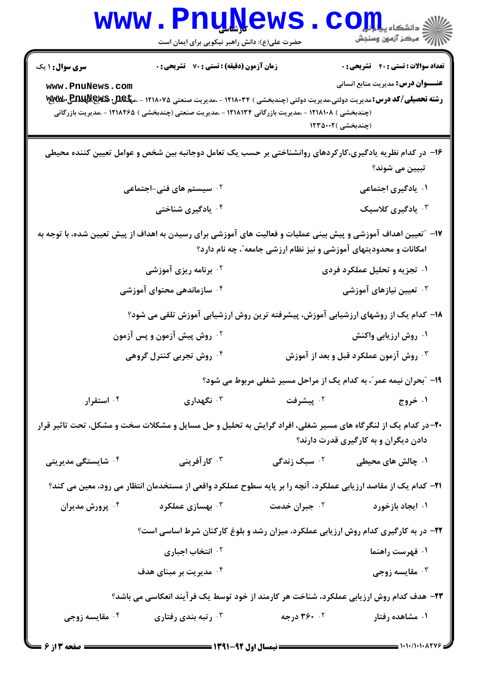|                                                                                         | www.PnuNews<br>حضرت علی(ع): دانش راهبر نیکویی برای ایمان است                                                                                                                                                                                                                              |                                                                   | ان دانشگاه پیام <mark>بر</mark><br>از دانشگاه پیام نور                                                        |
|-----------------------------------------------------------------------------------------|-------------------------------------------------------------------------------------------------------------------------------------------------------------------------------------------------------------------------------------------------------------------------------------------|-------------------------------------------------------------------|---------------------------------------------------------------------------------------------------------------|
| <b>سری سوال : ۱ یک</b><br>www.PnuNews.com                                               | زمان آزمون (دقیقه) : تستی : 70 گشریحی : 0<br><b>رشته تحصیلی/کد درس:</b> مدیریت دولتی،مدیریت دولتی (چندبخشی ) ۱۲۱۸۰۳۴ - ،مدیریت صنعتی ۱۲۱۸۰۷۵ - ،م <b>پلکلید پیلاپلیلیدیلی</b><br>.<br>(چندبخشی ) ۱۲۱۸۱۰۸ - ،مدیریت بازرگانی ۱۲۱۸۱۳۴ - ،مدیریت صنعتی (چندبخشی ) ۱۲۱۸۲۶۵ - ،مدیریت بازرگانی |                                                                   | <b>تعداد سوالات : تستي : 40 ٪ تشريحي : 0</b><br><b>عنـــوان درس:</b> مدیریت منابع انسانی<br>(چندبخشی )۱۲۳۵۰۰۲ |
|                                                                                         | ۱۶– در کدام نظریه یادگیری،کارکردهای روانشناختی بر حسب یک تعامل دوجانبه بین شخص و عوامل تعیین کننده محیطی                                                                                                                                                                                  |                                                                   | تبيين مي شوند؟                                                                                                |
|                                                                                         | ۰ <sup>۲</sup> سیستم های فنی–اجتماعی                                                                                                                                                                                                                                                      |                                                                   | ۰۱ یادگیری اجتماعی                                                                                            |
|                                                                                         | ۰۴ یادگیری شناختی                                                                                                                                                                                                                                                                         |                                                                   | ۰۳ یادگیری کلاسیک                                                                                             |
|                                                                                         | ۱۷– ″تعیین اهداف آموزشی و پیش بینی عملیات و فعالیت های آموزشی برای رسیدن به اهداف از پیش تعیین شده، با توجه به                                                                                                                                                                            | امکانات و محدودیتهای آموزشی و نیز نظام ارزشی جامعه"، چه نام دارد؟ |                                                                                                               |
|                                                                                         | <sup>۲</sup> ۰ برنامه ریزی آموزشی                                                                                                                                                                                                                                                         |                                                                   | ۰۱ تجزیه و تحلیل عملکرد فردی                                                                                  |
|                                                                                         | ۰۴ سازماندهی محتوای آموزشی                                                                                                                                                                                                                                                                |                                                                   | ۰ <sup>۳</sup> تعیین نیازهای آموزشی                                                                           |
|                                                                                         | ۱۸− کدام یک از روشهای ارزشیابی آموزش، پیشرفته ترین روش ارزشیابی آموزش تلقی می شود؟                                                                                                                                                                                                        |                                                                   |                                                                                                               |
|                                                                                         | ۰ <sup>۲</sup> روش پیش آزمون و پس آزمون                                                                                                                                                                                                                                                   |                                                                   | ۰۱ روش ارزیابی واکنش                                                                                          |
|                                                                                         | ۰ <sup>۴</sup> روش تجربی کنترل گروهی                                                                                                                                                                                                                                                      |                                                                   | ۰۳ روش آزمون عملکرد قبل و بعد از آموزش                                                                        |
|                                                                                         |                                                                                                                                                                                                                                                                                           |                                                                   | ۱۹- "بحران نیمه عمر"، به کدام یک از مراحل مسیر شغلی مربوط می شود؟                                             |
| ۰۴ استقرار                                                                              | ا نگهداری $\cdot$                                                                                                                                                                                                                                                                         | ۰۲ پیشرفت                                                         | ۰۱ خروج                                                                                                       |
|                                                                                         | ۲۰- در کدام یک از لنگرگاه های مسیر شغلی، افراد گرایش به تحلیل و حل مسایل و مشکلات سخت و مشکل، تحت تاثیر قرار                                                                                                                                                                              |                                                                   | دادن دیگران و به کارگیری قدرت دارند؟                                                                          |
| ۰ <sup>۴</sup> شایستگی مدیریتی                                                          | ۰ <sup>۳</sup> کار آفرینی                                                                                                                                                                                                                                                                 |                                                                   | ۰۱ چالش های محیطی معسلی در تدگی ( <mark>باش های محیطی</mark>                                                  |
|                                                                                         | <b>۲۱</b> – کدام یک از مقاصد ارزیابی عملکرد، آنچه را بر پایه سطوح عملکرد واقعی از مستخدمان انتظار می رود، معین می کند؟                                                                                                                                                                    |                                                                   |                                                                                                               |
| ۰ <sup>۴</sup> پرورش مدیران                                                             | بهسازی عملکرد $\cdot^{\mathtt{w}}$                                                                                                                                                                                                                                                        | ۰ <sup>۲</sup> جبران خدمت                                         | ۰۱ ایجاد بازخورد                                                                                              |
|                                                                                         | ۲۲- در به کارگیری کدام روش ارزیابی عملکرد، میزان رشد و بلوغ کارکنان شرط اساسی است؟                                                                                                                                                                                                        |                                                                   |                                                                                                               |
|                                                                                         | ۰۲ انتخاب اجباری                                                                                                                                                                                                                                                                          |                                                                   | ۰۱ فهرست راهنما                                                                                               |
|                                                                                         | ۰۴ مدیریت بر مبنای هدف                                                                                                                                                                                                                                                                    |                                                                   | ۰۳ مقایسه زوجی                                                                                                |
| ۲۳- هدف کدام روش ارزیابی عملکرد، شناخت هر کارمند از خود توسط یک فرآیند انعکاسی می باشد؟ |                                                                                                                                                                                                                                                                                           |                                                                   |                                                                                                               |
| ۰۴ مقایسه زوجی                                                                          | رتبه بندی رفتاری $\cdot^{\mathtt{w}}$                                                                                                                                                                                                                                                     | ۰۲ ۰۶۰ درجه                                                       | ۰۱ مشاهده رفتار                                                                                               |
|                                                                                         |                                                                                                                                                                                                                                                                                           |                                                                   |                                                                                                               |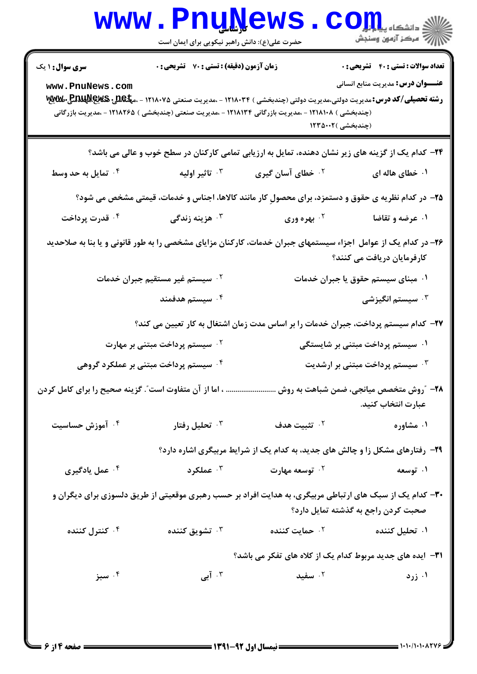|                                                                                                                                             | <b>www.PnuNews</b><br>حضرت علی(ع): دانش راهبر نیکویی برای ایمان است                                                                                |                                                                               | الله دانشگاه پیاوران<br>الله عرکز آزمون وسنجش                                            |
|---------------------------------------------------------------------------------------------------------------------------------------------|----------------------------------------------------------------------------------------------------------------------------------------------------|-------------------------------------------------------------------------------|------------------------------------------------------------------------------------------|
| <b>سری سوال : ۱ یک</b><br>www.PnuNews.com                                                                                                   | زمان آزمون (دقیقه) : تستی : 70 ٪ تشریحی : 0<br>(چندبخشی ) ۱۲۱۸۱۰۸ - ،مدیریت بازرگانی ۱۲۱۸۱۳۴ - ،مدیریت صنعتی (چندبخشی ) ۱۲۱۸۲۶۵ - ،مدیریت بازرگانی | (چندبخشی )۱۲۳۵۰۰۲                                                             | <b>تعداد سوالات : تستی : 40 - تشریحی : 0</b><br><b>عنـــوان درس:</b> مدیریت منابع انسانی |
|                                                                                                                                             |                                                                                                                                                    |                                                                               |                                                                                          |
|                                                                                                                                             | ۲۴- کدام یک از گزینه های زیر نشان دهنده، تمایل به ارزیابی تمامی کارکنان در سطح خوب و عالی می باشد؟                                                 |                                                                               |                                                                                          |
| ۰ <sup>۴</sup> تمایل به حد وسط                                                                                                              | ۰ <sup>۳</sup> تاثير اوليه                                                                                                                         | <sup>۲</sup> ۰ خطای آسان گیری                                                 | ۰۱ خطای هاله ای                                                                          |
|                                                                                                                                             | ۲۵- در کدام نظریه ی حقوق و دستمزد، برای محصولِ کار مانند کالاها، اجناس و خدمات، قیمتی مشخص می شود؟                                                 |                                                                               |                                                                                          |
| ۰۴ قدرت پرداخت                                                                                                                              | ۰ <sup>۳</sup> هزینه زندگی                                                                                                                         | <sup>7.</sup> بهره وری                                                        | ۰۱ عرضه و تقاضا                                                                          |
| ۲۶- در کدام یک از عوامل اجزاء سیستمهای جبران خدمات، کارکنان مزایای مشخصی را به طور قانونی و یا بنا به صلاحدید<br>کارفرمایان دریافت می کنند؟ |                                                                                                                                                    |                                                                               |                                                                                          |
|                                                                                                                                             | ۰ <sup>۲</sup> سیستم غیر مستقیم جبران خدمات                                                                                                        |                                                                               | ۰۱ مبنای سیستم حقوق یا جبران خدمات                                                       |
|                                                                                                                                             | ۰۴ سیستم هدفمند                                                                                                                                    |                                                                               | سیستم انگیزشی $\cdot^{\mathsf{v}}$                                                       |
|                                                                                                                                             | ۲۷– کدام سیستم پرداخت، جبران خدمات را بر اساس مدت زمان اشتغال به کار تعیین می کند؟                                                                 |                                                                               |                                                                                          |
|                                                                                                                                             | <sup>۲ .</sup> سیستم پرداخت مبتنی بر مهارت                                                                                                         |                                                                               | ۰۱ سیستم پرداخت مبتنی بر شایستگی                                                         |
|                                                                                                                                             | ۰ <sup>۴</sup> سیستم پرداخت مبتنی بر عملکرد گروهی                                                                                                  |                                                                               | ۰۳ سیستم پرداخت مبتنی بر ارشدیت $\cdot$                                                  |
|                                                                                                                                             | ۲۸- ″روش متخصص میانجی، ضمن شباهت به روش  اما از آن متفاوت است″. گزینه صحیح را برای کامل کردن                                                       |                                                                               | عبارت انتخاب كنيد.                                                                       |
| ۰۴ آموزش حساسیت                                                                                                                             | تحلیل رفتار $\cdot$                                                                                                                                | ۰۲ تثبیت هدف                                                                  | ۰۱ مشاوره                                                                                |
|                                                                                                                                             |                                                                                                                                                    | ۲۹- رفتارهای مشکل زا و چالش های جدید، به کدام یک از شرایط مربیگری اشاره دارد؟ |                                                                                          |
| ۰ <sup>۴</sup> عمل یادگیری                                                                                                                  | عملکرد $\cdot$ "                                                                                                                                   | ۰ <sup>۲</sup> توسعه مهارت                                                    | ۰۱ توسعه                                                                                 |
|                                                                                                                                             | ۳۰– کدام یک از سبک های ارتباطی مربیگری، به هدایت افراد بر حسب رهبری موقعیتی از طریق دلسوزی برای دیگران و                                           |                                                                               | صحبت کردن راجع به گذشته تمایل دارد؟                                                      |
| ۰۴ کنترل کننده                                                                                                                              | تشويق كننده $\cdot^{\mathsf{r}}$                                                                                                                   | ۰ <sup>۲</sup> حمایت کننده                                                    | ۰۱ تحلیل کننده                                                                           |
|                                                                                                                                             |                                                                                                                                                    | <b>٣١</b> - ایده های جدید مربوط کدام یک از کلاه های تفکر می باشد؟             |                                                                                          |
| ۰۴ سبز                                                                                                                                      | ۰۳ آبی $\,$                                                                                                                                        | ۰۲ سفید                                                                       | ۰۱ زرد                                                                                   |
|                                                                                                                                             |                                                                                                                                                    |                                                                               |                                                                                          |

 $= 1.1.11.1.174$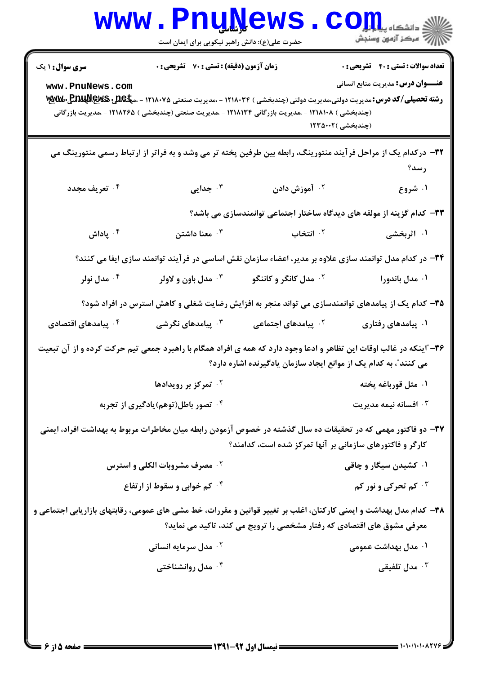| <b>WWW</b>                                                                                                         | <b>L</b> TTri <sup>n</sup> i<br>حضرت علی(ع): دانش راهبر نیکویی برای ایمان است |                                                                                                     | لاد دانشڪاه پ <b>يا ۾ لور</b><br>الا                                                                                                                                                                                                                    |
|--------------------------------------------------------------------------------------------------------------------|-------------------------------------------------------------------------------|-----------------------------------------------------------------------------------------------------|---------------------------------------------------------------------------------------------------------------------------------------------------------------------------------------------------------------------------------------------------------|
| <b>سری سوال : ۱ یک</b><br>www.PnuNews.com                                                                          | زمان آزمون (دقیقه) : تستی : 70 ٪ تشریحی : 0                                   | (چندبخشی ) ۱۲۱۸۱۰۸ - ،مدیریت بازرگانی ۱۲۱۸۱۳۴ - ،مدیریت صنعتی (چندبخشی ) ۱۲۱۸۲۶۵ - ،مدیریت بازرگانی | <b>تعداد سوالات : تستی : 40 - تشریحی : 0</b><br><b>عنـــوان درس:</b> مدیریت منابع انسانی<br><b>رشته تحصیلی/کد درس: م</b> دیریت دولتی،مدیریت دولتی (چندبخشی ) ۱۲۱۸۰۳۴ - ،مدیریت صنعتی ۱۲۱۸۰۷۵ - ،م <b>پلکلیدی پالیلاپیل میلایلا</b><br>(چندبخشی )۱۲۳۵۰۰۲ |
|                                                                                                                    |                                                                               |                                                                                                     | ۳۲– درکدام یک از مراحل فرآیند منتورینگ، رابطه بین طرفین پخته تر می وشد و به فراتر از ارتباط رسمی منتورینگ می<br>رسد؟                                                                                                                                    |
| ۰۴ تعریف مجدد                                                                                                      | جدایی $\cdot^{\mathsf{r}}$                                                    | ۰ <sup>۲</sup> آموزش دادن                                                                           | ۰۱ شروع                                                                                                                                                                                                                                                 |
|                                                                                                                    |                                                                               |                                                                                                     | ۳۳– کدام گزینه از مولفه های دیدگاه ساختار اجتماعی توانمندسازی می باشد؟                                                                                                                                                                                  |
| ا پاداش $\cdot$ $^\circ$                                                                                           | معنا داشتن $\cdot$ "                                                          | ۰ <sup>۲</sup> انتخاب                                                                               | ۰۱ اثربخشی                                                                                                                                                                                                                                              |
|                                                                                                                    |                                                                               |                                                                                                     | ۳۴– در کدام مدل توانمند سازی علاوه بر مدیر، اعضاء سازمان نقش اساسی در فرآیند توانمند سازی ایفا می کنند؟                                                                                                                                                 |
| ۰۴ مدل نولر                                                                                                        | مدل باون و لاولر $\cdot^{\mathsf{v}}$                                         | ۰ <sup>۲</sup> مدل کانگر و کاننگو                                                                   | ۰۱ مدل باندورا                                                                                                                                                                                                                                          |
| ۳۵– کدام یک از پیامدهای توانمندسازی می تواند منجر به افزایش رضایت شغلی و کاهش استرس در افراد شود؟                  |                                                                               |                                                                                                     |                                                                                                                                                                                                                                                         |
| ۰ <sup>۴</sup> پیامدهای اقتصادی                                                                                    | يامدهای نگرشی $\cdot^{\mathtt{w}}$                                            | <sup>۲</sup> ۰ پیامدهای اجتماعی                                                                     | ۰۱ پیامدهای رفتاری                                                                                                                                                                                                                                      |
|                                                                                                                    |                                                                               | می کنند"، به کدام یک از موانع ایجاد سازمان یادگیرنده اشاره دارد؟                                    | ۳۶- آینکه در غالب اوقات این تظاهر و ادعا وجود دارد که همه ی افراد همگام با راهبرد جمعی تیم حرکت کرده و از آن تبعیت                                                                                                                                      |
|                                                                                                                    | تمرکز بر رویدادها $\cdot$ ۲                                                   |                                                                                                     | ۰۱ مثل قورباغه پخته                                                                                                                                                                                                                                     |
|                                                                                                                    | ۰۴ تصور باطل(توهم)یادگیری از تجربه                                            |                                                                                                     | افسانه نيمه مديريت $\cdot$                                                                                                                                                                                                                              |
|                                                                                                                    |                                                                               | <b>کارگر و فاکتورهای سازمانی بر آنها تمرکز شده است، کدامند</b> ؟                                    | ۳۷– دو فاکتور مهمی که در تحقیقات ده سال گذشته در خصوص آزمودن رابطه میان مخاطرات مربوط به بهداشت افراد، ایمنی                                                                                                                                            |
|                                                                                                                    | <b>گ مصرف مشروبات الکلی و استرس</b>                                           |                                                                                                     | ۰۱ کشیدن سیگار و چاقی                                                                                                                                                                                                                                   |
|                                                                                                                    | ۰۴ کم خوابی و سقوط از ارتفاع                                                  |                                                                                                     | ۰ <sup>۳ ک</sup> م تحرکی و نور کم                                                                                                                                                                                                                       |
| ۳۸– کدام مدل بهداشت و ایمنی کارکنان، اغلب بر تغییر قوانین و مقررات، خط مشی های عمومی، رقابتهای بازاریابی اجتماعی و |                                                                               | معرفی مشوق های اقتصادی که رفتار مشخصی را ترویج می کند، تاکید می نماید؟                              |                                                                                                                                                                                                                                                         |
|                                                                                                                    | <b>10 مدل سرمایه انسانی</b>                                                   |                                                                                                     | ۰۱ مدل بهداشت عمومی                                                                                                                                                                                                                                     |
|                                                                                                                    | ۰ <sup>۴</sup> مدل روانشناختی                                                 |                                                                                                     | مدل تلفیقی $\cdot^{\mathsf{y}}$                                                                                                                                                                                                                         |
|                                                                                                                    |                                                                               |                                                                                                     |                                                                                                                                                                                                                                                         |

 $-NT$ 

۳.

 $1881$